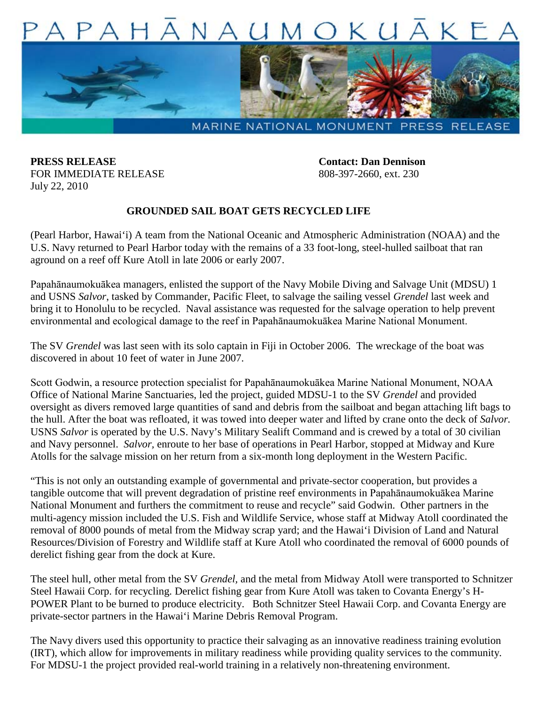

**PRESS RELEASE Contact: Dan Dennison** FOR IMMEDIATE RELEASE 808-397-2660, ext. 230 July 22, 2010

## **GROUNDED SAIL BOAT GETS RECYCLED LIFE**

(Pearl Harbor, Hawai'i) A team from the National Oceanic and Atmospheric Administration (NOAA) and the U.S. Navy returned to Pearl Harbor today with the remains of a 33 foot-long, steel-hulled sailboat that ran aground on a reef off Kure Atoll in late 2006 or early 2007.

Papahānaumokuākea managers, enlisted the support of the Navy Mobile Diving and Salvage Unit (MDSU) 1 and USNS *Salvor*, tasked by Commander, Pacific Fleet, to salvage the sailing vessel *Grendel* last week and bring it to Honolulu to be recycled. Naval assistance was requested for the salvage operation to help prevent environmental and ecological damage to the reef in Papahānaumokuākea Marine National Monument.

The SV *Grendel* was last seen with its solo captain in Fiji in October 2006. The wreckage of the boat was discovered in about 10 feet of water in June 2007.

Scott Godwin, a resource protection specialist for Papahānaumokuākea Marine National Monument, NOAA Office of National Marine Sanctuaries, led the project, guided MDSU-1 to the SV *Grendel* and provided oversight as divers removed large quantities of sand and debris from the sailboat and began attaching lift bags to the hull. After the boat was refloated, it was towed into deeper water and lifted by crane onto the deck of *Salvor.*  USNS *Salvor* is operated by the U.S. Navy's Military Sealift Command and is crewed by a total of 30 civilian and Navy personnel. *Salvor,* enroute to her base of operations in Pearl Harbor, stopped at Midway and Kure Atolls for the salvage mission on her return from a six-month long deployment in the Western Pacific.

"This is not only an outstanding example of governmental and private-sector cooperation, but provides a tangible outcome that will prevent degradation of pristine reef environments in Papahānaumokuākea Marine National Monument and furthers the commitment to reuse and recycle" said Godwin. Other partners in the multi-agency mission included the U.S. Fish and Wildlife Service, whose staff at Midway Atoll coordinated the removal of 8000 pounds of metal from the Midway scrap yard; and the Hawai'i Division of Land and Natural Resources/Division of Forestry and Wildlife staff at Kure Atoll who coordinated the removal of 6000 pounds of derelict fishing gear from the dock at Kure.

The steel hull, other metal from the SV *Grendel,* and the metal from Midway Atoll were transported to Schnitzer Steel Hawaii Corp. for recycling. Derelict fishing gear from Kure Atoll was taken to Covanta Energy's H-POWER Plant to be burned to produce electricity. Both Schnitzer Steel Hawaii Corp. and Covanta Energy are private-sector partners in the Hawai'i Marine Debris Removal Program.

The Navy divers used this opportunity to practice their salvaging as an innovative readiness training evolution (IRT), which allow for improvements in military readiness while providing quality services to the community. For MDSU-1 the project provided real-world training in a relatively non-threatening environment.